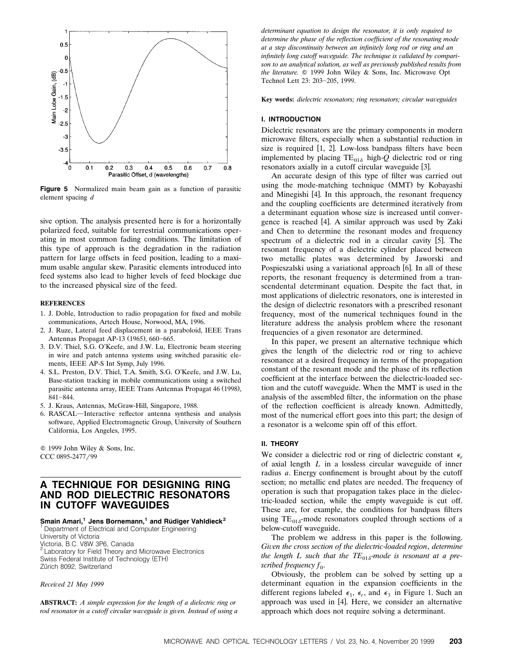

**Figure 5** Normalized main beam gain as a function of parasitic element spacing *d*

sive option. The analysis presented here is for a horizontally polarized feed, suitable for terrestrial communications operating in most common fading conditions. The limitation of this type of approach is the degradation in the radiation pattern for large offsets in feed position, leading to a maximum usable angular skew. Parasitic elements introduced into feed systems also lead to higher levels of feed blockage due to the increased physical size of the feed.

#### **REFERENCES**

- 1. J. Doble, Introduction to radio propagation for fixed and mobile communications, Artech House, Norwood, MA, 1996.
- 2. J. Ruze, Lateral feed displacement in a paraboloid, IEEE Trans Antennas Propagat AP-13 (1965), 660-665.
- 3. D.V. Thiel, S.G. O'Keefe, and J.W. Lu, Electronic beam steering in wire and patch antenna systems using switched parasitic elements, IEEE AP-S Int Symp, July 1996.
- 4. S.L. Preston, D.V. Thiel, T.A. Smith, S.G. O'Keefe, and J.W. Lu, Base-station tracking in mobile communications using a switched parasitic antenna array, IEEE Trans Antennas Propagat 46 (1998),  $841 - 844.$
- 5. J. Kraus, Antennas, McGraw-Hill, Singapore, 1988.
- 6. RASCAL—Interactive reflector antenna synthesis and analysis software, Applied Electromagnetic Group, University of Southern California, Los Angeles, 1995.

Q 1999 John Wiley & Sons, Inc. CCC 0895-2477/99

# **A TECHNIQUE FOR DESIGNING RING AND ROD DIELECTRIC RESONATORS IN CUTOFF WAVEGUIDES**

# **Smain Amari,<sup>1</sup> Jens Bornemann,<sup>1</sup> and Rüdiger Vahldieck<sup>2</sup><br><sup>1</sup> Department of Electrical and Computer Engineering**

University of Victoria Victoria, B.C. V8W 3P6, Canada<br><sup>2</sup> Laboratory for Field Theory and Microwave Electronics Swiss Federal Institute of Technology (ETH) Zürich 8092, Switzerland

*Recei*¨*ed 21 May 1999*

**ABSTRACT:** *A simple expression for the length of a dielectric ring or rod resonator in a cutoff circular waveguide is given. Instead of using a*  *determinant equation to design the resonator, it is only required to determine the phase of the reflection coefficient of the resonating mode at a step discontinuity between an infinitely long rod or ring and an infinitely long cutoff waveguide. The technique is validated by comparison to an analytical solution, as well as previously published results from* the literature. © 1999 John Wiley & Sons, Inc. Microwave Opt Technol Lett 23: 203-205, 1999.

Key words: *dielectric resonators; ring resonators; circular waveguides* 

#### **I. INTRODUCTION**

Dielectric resonators are the primary components in modern microwave filters, especially when a substantial reduction in size is required  $[1, 2]$ . Low-loss bandpass filters have been implemented by placing  $TE_{01\delta}$  high-*Q* dielectric rod or ring resonators axially in a cutoff circular waveguide [3].

An accurate design of this type of filter was carried out using the mode-matching technique (MMT) by Kobayashi and Minegishi [4]. In this approach, the resonant frequency and the coupling coefficients are determined iteratively from a determinant equation whose size is increased until convergence is reached [4]. A similar approach was used by Zaki and Chen to determine the resonant modes and frequency spectrum of a dielectric rod in a circular cavity  $[5]$ . The resonant frequency of a dielectric cylinder placed between two metallic plates was determined by Jaworski and Pospieszalski using a variational approach [6]. In all of these reports, the resonant frequency is determined from a transcendental determinant equation. Despite the fact that, in most applications of dielectric resonators, one is interested in the design of dielectric resonators with a prescribed resonant frequency, most of the numerical techniques found in the literature address the analysis problem where the resonant frequencies of a given resonator are determined.

In this paper, we present an alternative technique which gives the length of the dielectric rod or ring to achieve resonance at a desired frequency in terms of the propagation constant of the resonant mode and the phase of its reflection coefficient at the interface between the dielectric-loaded section and the cutoff waveguide. When the MMT is used in the analysis of the assembled filter, the information on the phase of the reflection coefficient is already known. Admittedly, most of the numerical effort goes into this part; the design of a resonator is a welcome spin off of this effort.

## **II. THEORY**

We consider a dielectric rod or ring of dielectric constant  $\epsilon_r$ of axial length *L* in a lossless circular waveguide of inner radius *a*. Energy confinement is brought about by the cutoff section; no metallic end plates are needed. The frequency of operation is such that propagation takes place in the dielectric-loaded section, while the empty waveguide is cut off. These are, for example, the conditions for bandpass filters using  $TE_{01\delta}$ -mode resonators coupled through sections of a below-cutoff waveguide.

The problem we address in this paper is the following. *Gi*¨*en the cross section of the dielectric*-*loaded region*, *determine the length L such that the TE*<sub>01 $\delta$ </sub>-mode is resonant at a pre*scribed frequency f<sub>0</sub>.* 

Obviously, the problem can be solved by setting up a determinant equation in the expansion coefficients in the different regions labeled  $\epsilon_1$ ,  $\epsilon_r$ , and  $\epsilon_3$  in Figure 1. Such an approach was used in [4]. Here, we consider an alternative approach which does not require solving a determinant.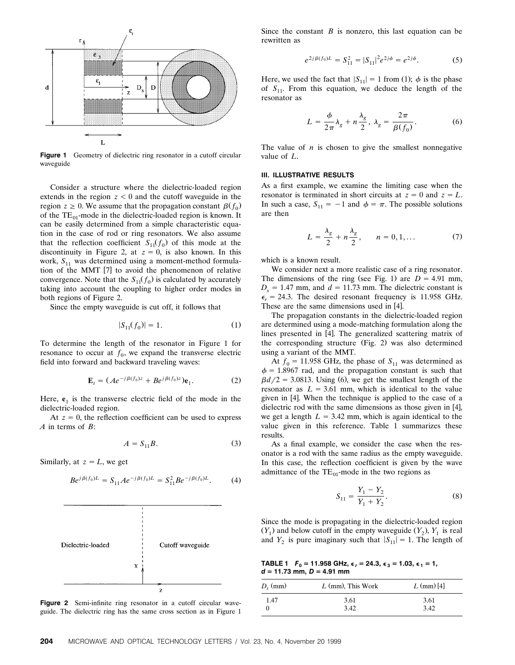

Figure 1 Geometry of dielectric ring resonator in a cutoff circular waveguide

Consider a structure where the dielectric-loaded region extends in the region  $z < 0$  and the cutoff waveguide in the region  $z \ge 0$ . We assume that the propagation constant  $\beta(f_0)$ of the  $TE_{01}$ -mode in the dielectric-loaded region is known. It can be easily determined from a simple characteristic equation in the case of rod or ring resonators. We also assume that the reflection coefficient  $S_{11}(f_0)$  of this mode at the discontinuity in Figure 2, at  $z = 0$ , is also known. In this work,  $S_{11}$  was determined using a moment-method formulation of the MMT [7] to avoid the phenomenon of relative convergence. Note that the  $S_{11}(f_0)$  is calculated by accurately taking into account the coupling to higher order modes in both regions of Figure 2.

Since the empty waveguide is cut off, it follows that

$$
|S_{11}(f_0)| = 1.
$$
 (1)

To determine the length of the resonator in Figure 1 for resonance to occur at  $f_0$ , we expand the transverse electric field into forward and backward traveling waves:

$$
\mathbf{E}_t = (Ae^{-j\beta(f_0)z} + Be^{j\beta(f_0)z})\mathbf{e}_1.
$$
 (2)

Here,  $e_1$  is the transverse electric field of the mode in the dielectric-loaded region.

At  $z = 0$ , the reflection coefficient can be used to express *A* in terms of *B*:

$$
A = S_{11}B. \tag{3}
$$

Similarly, at  $z = L$ , we get

$$
Be^{j\beta(f_0)L} = S_{11}Ae^{-j\beta(f_0)L} = S_{11}^2Be^{-j\beta(f_0)L}.
$$
 (4)



**Figure 2** Semi-infinite ring resonator in a cutoff circular waveguide. The dielectric ring has the same cross section as in Figure 1

Since the constant *B* is nonzero, this last equation can be rewritten as

$$
e^{2j\beta(f_0)L} = S_{11}^2 = |S_{11}|^2 e^{2j\phi} = e^{2j\phi}.
$$
 (5)

Here, we used the fact that  $|S_{11}| = 1$  from (1);  $\phi$  is the phase of  $S_{11}$ . From this equation, we deduce the length of the resonator as

$$
L = \frac{\phi}{2\pi} \lambda_g + n \frac{\lambda_g}{2}, \ \lambda_g = \frac{2\pi}{\beta(f_0)}.
$$
 (6)

The value of  $n$  is chosen to give the smallest nonnegative value of *L*.

#### **III. ILLUSTRATIVE RESULTS**

As a first example, we examine the limiting case when the resonator is terminated in short circuits at  $z = 0$  and  $z = L$ . In such a case,  $S_{11} = -1$  and  $\phi = \pi$ . The possible solutions are then

$$
L = \frac{\lambda_g}{2} + n\frac{\lambda_g}{2}, \qquad n = 0, 1, \dots \tag{7}
$$

which is a known result.

We consider next a more realistic case of a ring resonator. The dimensions of the ring (see Fig. 1) are  $D = 4.91$  mm,  $D_x = 1.47$  mm, and  $d = 11.73$  mm. The dielectric constant is  $\epsilon_r$  = 24.3. The desired resonant frequency is 11.958 GHz. These are the same dimensions used in [4].

The propagation constants in the dielectric-loaded region are determined using a mode-matching formulation along the lines presented in [4]. The generalized scattering matrix of the corresponding structure (Fig. 2) was also determined using a variant of the MMT.

At  $f_0 = 11.958$  GHz, the phase of  $S_{11}$  was determined as  $\phi$  = 1.8967 rad, and the propagation constant is such that  $\beta d/2 = 3.0813$ . Using (6), we get the smallest length of the resonator as  $L = 3.61$  mm, which is identical to the value given in [4]. When the technique is applied to the case of a dielectric rod with the same dimensions as those given in  $[4]$ , we get a length  $L = 3.42$  mm, which is again identical to the value given in this reference. Table 1 summarizes these results.

As a final example, we consider the case when the resonator is a rod with the same radius as the empty waveguide. In this case, the reflection coefficient is given by the wave admittance of the  $TE_{01}$ -mode in the two regions as

$$
S_{11} = \frac{Y_1 - Y_2}{Y_1 + Y_2}.
$$
 (8)

Since the mode is propagating in the dielectric-loaded region  $(Y_1)$  and below cutoff in the empty waveguide  $(Y_2)$ ,  $Y_1$  is real and  $Y_2$  is pure imaginary such that  $|S_{11}| = 1$ . The length of

**TABLE 1**  $F_0 = 11.958$  GHz,  $\epsilon_1 = 24.3$ ,  $\epsilon_3 = 1.03$ ,  $\epsilon_1 = 1$ , *d* **= 11.73 mm,** *D* **= 4.91 mm**

| $D_{x}$ (mm) | $L$ (mm), This Work | $L$ (mm) [4] |
|--------------|---------------------|--------------|
| 1.47         | 3.61                | 3.61         |
|              | 3.42                | 3.42         |